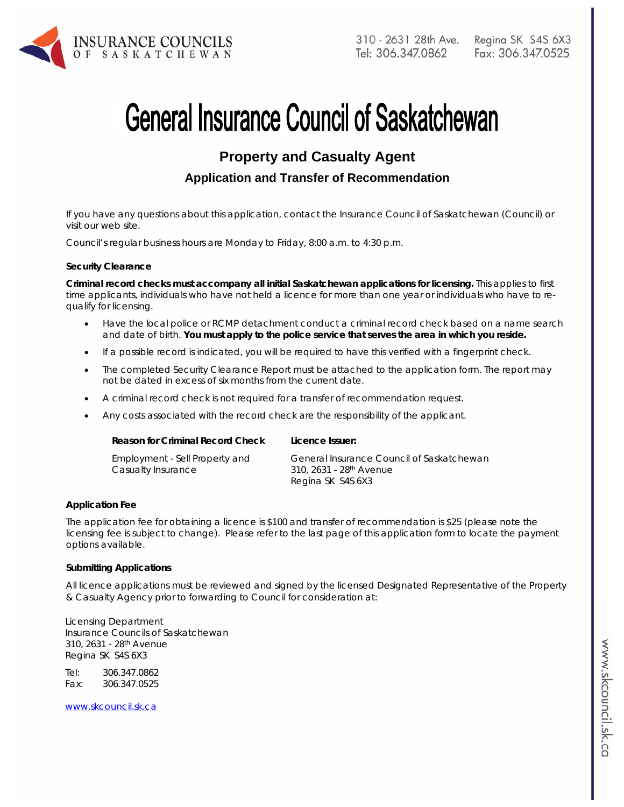

# **General Insurance Council of Saskatchewan**

# **Property and Casualty Agent**

# **Application and Transfer of Recommendation**

If you have any questions about this application, contact the Insurance Council of Saskatchewan (Council) or visit our web site.

Council's regular business hours are Monday to Friday, 8:00 a.m. to 4:30 p.m.

#### **Security Clearance**

**Criminal record checks must accompany all initial Saskatchewan applications for licensing.** This applies to first time applicants, individuals who have not held a licence for more than one year or individuals who have to requalify for licensing.

- Have the local police or RCMP detachment conduct a criminal record check based on a name search and date of birth. **You must apply to the police service that serves the area in which you reside.**
- If a possible record is indicated, you will be required to have this verified with a fingerprint check.
- The completed Security Clearance Report must be attached to the application form. The report may not be dated in excess of six months from the current date.
- A criminal record check is not required for a transfer of recommendation request.
- Any costs associated with the record check are the responsibility of the applicant.

| Reason for Criminal Record Check                     | Licence Issuer:                                                                  |
|------------------------------------------------------|----------------------------------------------------------------------------------|
| Employment - Sell Property and<br>Casualty Insurance | General Insurance Council of Saskatchewan<br>310, 2631 - 28 <sup>th</sup> Avenue |
|                                                      | Regina SK S4S 6X3                                                                |

#### **Application Fee**

The application fee for obtaining a licence is \$100 and transfer of recommendation is \$25 (please note the licensing fee is subject to change). Please refer to the last page of this application form to locate the payment options available.

#### **Submitting Applications**

All licence applications must be reviewed and signed by the licensed Designated Representative of the Property & Casualty Agency prior to forwarding to Council for consideration at:

Licensing Department Insurance Councils of Saskatchewan 310, 2631 - 28th Avenue Regina SK S4S 6X3

Tel: 306.347.0862 Fax: 306.347.0525

www.skcouncil.sk.ca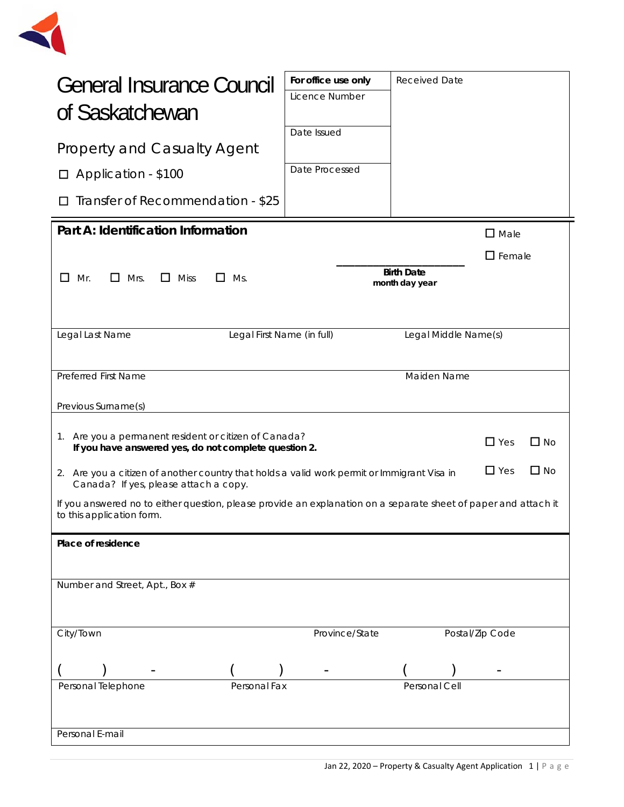

| General Insurance Council<br>of Saskatchewan                                                                                                                       | For office use only<br>Licence Number | <b>Received Date</b>                |  |  |
|--------------------------------------------------------------------------------------------------------------------------------------------------------------------|---------------------------------------|-------------------------------------|--|--|
| <b>Property and Casualty Agent</b>                                                                                                                                 | Date Issued                           |                                     |  |  |
| □ Application - \$100                                                                                                                                              | Date Processed                        |                                     |  |  |
| Transfer of Recommendation - \$25                                                                                                                                  |                                       |                                     |  |  |
| Part A: Identification Information                                                                                                                                 |                                       | $\square$ Male                      |  |  |
|                                                                                                                                                                    |                                       | $\square$ Female                    |  |  |
| П.<br>Mrs.<br>$\Box$ Miss<br>Mr.<br>П<br>Ms.<br>$\mathsf{L}$                                                                                                       |                                       | <b>Birth Date</b><br>month day year |  |  |
|                                                                                                                                                                    |                                       |                                     |  |  |
| Legal Last Name<br>Legal First Name (in full)                                                                                                                      |                                       | Legal Middle Name(s)                |  |  |
|                                                                                                                                                                    |                                       |                                     |  |  |
| Preferred First Name                                                                                                                                               |                                       | Maiden Name                         |  |  |
| Previous Surname(s)                                                                                                                                                |                                       |                                     |  |  |
| 1. Are you a permanent resident or citizen of Canada?<br>$\Box$ Yes<br>$\Box$ No<br>If you have answered yes, do not complete question 2.                          |                                       |                                     |  |  |
| $\square$ No<br>$\Box$ Yes<br>2. Are you a citizen of another country that holds a valid work permit or Immigrant Visa in<br>Canada? If yes, please attach a copy. |                                       |                                     |  |  |
| If you answered no to either question, please provide an explanation on a separate sheet of paper and attach it<br>to this application form.                       |                                       |                                     |  |  |
| Place of residence                                                                                                                                                 |                                       |                                     |  |  |
|                                                                                                                                                                    |                                       |                                     |  |  |
| Number and Street, Apt., Box #                                                                                                                                     |                                       |                                     |  |  |
|                                                                                                                                                                    |                                       |                                     |  |  |
| City/Town                                                                                                                                                          | Province/State                        | Postal/Zip Code                     |  |  |
|                                                                                                                                                                    |                                       |                                     |  |  |
| Personal Telephone<br>Personal Fax                                                                                                                                 |                                       | Personal Cell                       |  |  |
|                                                                                                                                                                    |                                       |                                     |  |  |
| Personal E-mail                                                                                                                                                    |                                       |                                     |  |  |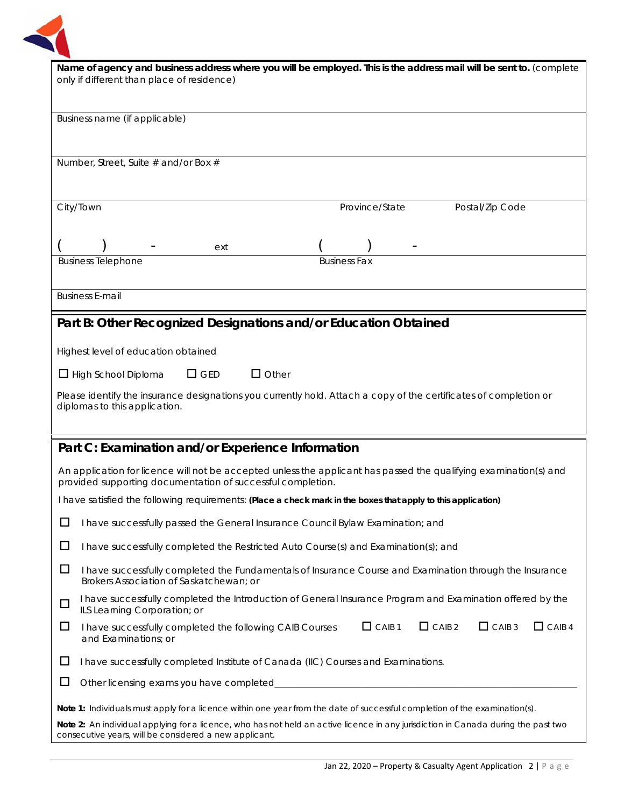

| Name of agency and business address where you will be employed. This is the address mail will be sent to. (complete<br>only if different than place of residence)                |                                                                                                                                                                                              |  |  |
|----------------------------------------------------------------------------------------------------------------------------------------------------------------------------------|----------------------------------------------------------------------------------------------------------------------------------------------------------------------------------------------|--|--|
|                                                                                                                                                                                  |                                                                                                                                                                                              |  |  |
|                                                                                                                                                                                  | Business name (if applicable)                                                                                                                                                                |  |  |
|                                                                                                                                                                                  |                                                                                                                                                                                              |  |  |
|                                                                                                                                                                                  | Number, Street, Suite # and/or Box #                                                                                                                                                         |  |  |
|                                                                                                                                                                                  |                                                                                                                                                                                              |  |  |
| City/Town                                                                                                                                                                        | Province/State<br>Postal/Zip Code                                                                                                                                                            |  |  |
|                                                                                                                                                                                  |                                                                                                                                                                                              |  |  |
|                                                                                                                                                                                  | ext                                                                                                                                                                                          |  |  |
|                                                                                                                                                                                  | <b>Business Telephone</b><br><b>Business Fax</b>                                                                                                                                             |  |  |
|                                                                                                                                                                                  |                                                                                                                                                                                              |  |  |
| <b>Business E-mail</b>                                                                                                                                                           |                                                                                                                                                                                              |  |  |
|                                                                                                                                                                                  | Part B: Other Recognized Designations and/or Education Obtained                                                                                                                              |  |  |
|                                                                                                                                                                                  | Highest level of education obtained                                                                                                                                                          |  |  |
|                                                                                                                                                                                  | $\Box$ Other<br>$\Box$ GED<br>$\Box$ High School Diploma                                                                                                                                     |  |  |
|                                                                                                                                                                                  | Please identify the insurance designations you currently hold. Attach a copy of the certificates of completion or                                                                            |  |  |
|                                                                                                                                                                                  | diplomas to this application.                                                                                                                                                                |  |  |
|                                                                                                                                                                                  |                                                                                                                                                                                              |  |  |
| Part C: Examination and/or Experience Information                                                                                                                                |                                                                                                                                                                                              |  |  |
| An application for licence will not be accepted unless the applicant has passed the qualifying examination(s) and<br>provided supporting documentation of successful completion. |                                                                                                                                                                                              |  |  |
|                                                                                                                                                                                  | I have satisfied the following requirements: (Place a check mark in the boxes that apply to this application)                                                                                |  |  |
| $\Box$                                                                                                                                                                           | I have successfully passed the General Insurance Council Bylaw Examination; and                                                                                                              |  |  |
| $\Box$                                                                                                                                                                           | I have successfully completed the Restricted Auto Course(s) and Examination(s); and                                                                                                          |  |  |
| $\Box$                                                                                                                                                                           | I have successfully completed the Fundamentals of Insurance Course and Examination through the Insurance<br>Brokers Association of Saskatchewan: or                                          |  |  |
| $\Box$                                                                                                                                                                           | I have successfully completed the Introduction of General Insurance Program and Examination offered by the<br>ILS Learning Corporation; or                                                   |  |  |
| ப                                                                                                                                                                                | $\Box$ CAIB 1<br>$\Box$ CAIB 2<br>$\Box$ CAIB 3<br>$\Box$ CAIB 4<br>I have successfully completed the following CAIB Courses<br>and Examinations; or                                         |  |  |
| ப                                                                                                                                                                                | I have successfully completed Institute of Canada (IIC) Courses and Examinations.                                                                                                            |  |  |
| $\Box$                                                                                                                                                                           | Other licensing exams you have completed_                                                                                                                                                    |  |  |
| Note 1: Individuals must apply for a licence within one year from the date of successful completion of the examination(s).                                                       |                                                                                                                                                                                              |  |  |
|                                                                                                                                                                                  | Note 2: An individual applying for a licence, who has not held an active licence in any jurisdiction in Canada during the past two<br>consecutive years, will be considered a new applicant. |  |  |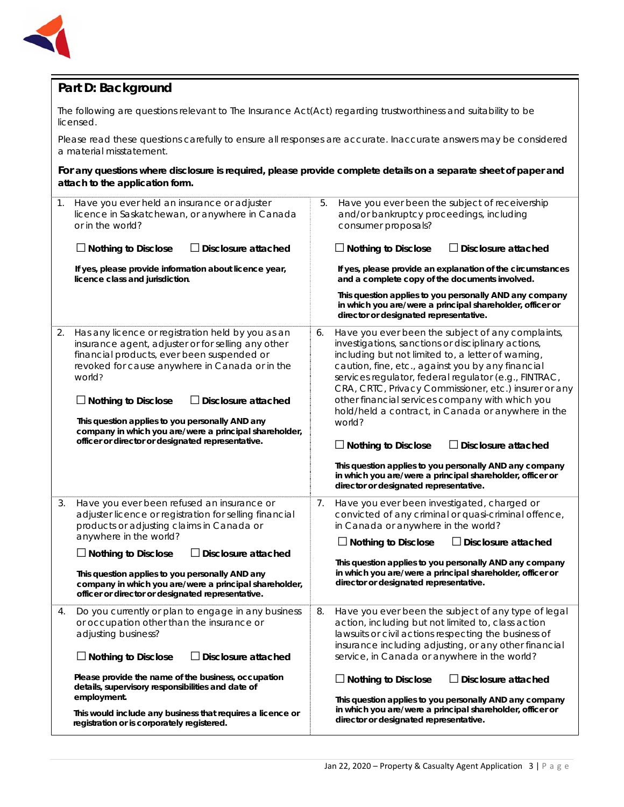

# **Part D: Background**

The following are questions relevant to *The Insurance Act*(Act) regarding trustworthiness and suitability to be licensed.

Please read these questions carefully to ensure all responses are accurate. Inaccurate answers may be considered a material misstatement.

**For any questions where disclosure is required, please provide complete details on a separate sheet of paper and attach to the application form.**

| 1. | Have you ever held an insurance or adjuster<br>licence in Saskatchewan, or anywhere in Canada<br>or in the world?                                                                                                                                                                                                                                                                                                                               | 5. | Have you ever been the subject of receivership<br>and/or bankruptcy proceedings, including<br>consumer proposals?                                                                                                                                                                                                                                                                                                                                                                                                                                                                                                                                                                     |
|----|-------------------------------------------------------------------------------------------------------------------------------------------------------------------------------------------------------------------------------------------------------------------------------------------------------------------------------------------------------------------------------------------------------------------------------------------------|----|---------------------------------------------------------------------------------------------------------------------------------------------------------------------------------------------------------------------------------------------------------------------------------------------------------------------------------------------------------------------------------------------------------------------------------------------------------------------------------------------------------------------------------------------------------------------------------------------------------------------------------------------------------------------------------------|
|    | $\Box$ Nothing to Disclose<br>$\Box$ Disclosure attached                                                                                                                                                                                                                                                                                                                                                                                        |    | $\Box$ Nothing to Disclose<br>$\Box$ Disclosure attached                                                                                                                                                                                                                                                                                                                                                                                                                                                                                                                                                                                                                              |
|    | If yes, please provide information about licence year,<br>licence class and jurisdiction.                                                                                                                                                                                                                                                                                                                                                       |    | If yes, please provide an explanation of the circumstances<br>and a complete copy of the documents involved.                                                                                                                                                                                                                                                                                                                                                                                                                                                                                                                                                                          |
|    |                                                                                                                                                                                                                                                                                                                                                                                                                                                 |    | This question applies to you personally AND any company<br>in which you are/were a principal shareholder, officer or<br>director or designated representative.                                                                                                                                                                                                                                                                                                                                                                                                                                                                                                                        |
| 2. | Has any licence or registration held by you as an<br>insurance agent, adjuster or for selling any other<br>financial products, ever been suspended or<br>revoked for cause anywhere in Canada or in the<br>world?<br>$\Box$ Nothing to Disclose<br>$\Box$ Disclosure attached<br>This question applies to you personally AND any<br>company in which you are/were a principal shareholder,<br>officer or director or designated representative. | 6. | Have you ever been the subject of any complaints,<br>investigations, sanctions or disciplinary actions,<br>including but not limited to, a letter of warning,<br>caution, fine, etc., against you by any financial<br>services regulator, federal regulator (e.g., FINTRAC,<br>CRA, CRTC, Privacy Commissioner, etc.) insurer or any<br>other financial services company with which you<br>hold/held a contract, in Canada or anywhere in the<br>world?<br>$\Box$ Nothing to Disclose<br>$\Box$ Disclosure attached<br>This question applies to you personally AND any company<br>in which you are/were a principal shareholder, officer or<br>director or designated representative. |
| 3. | Have you ever been refused an insurance or<br>adjuster licence or registration for selling financial<br>products or adjusting claims in Canada or<br>anywhere in the world?<br>$\Box$ Disclosure attached<br>$\Box$ Nothing to Disclose<br>This question applies to you personally AND any                                                                                                                                                      | 7. | Have you ever been investigated, charged or<br>convicted of any criminal or quasi-criminal offence,<br>in Canada or anywhere in the world?<br>$\Box$ Disclosure attached<br>$\Box$ Nothing to Disclose<br>This question applies to you personally AND any company<br>in which you are/were a principal shareholder, officer or                                                                                                                                                                                                                                                                                                                                                        |
|    | company in which you are/were a principal shareholder,<br>officer or director or designated representative.                                                                                                                                                                                                                                                                                                                                     |    | director or designated representative.                                                                                                                                                                                                                                                                                                                                                                                                                                                                                                                                                                                                                                                |
| 4. | Do you currently or plan to engage in any business<br>or occupation other than the insurance or<br>adjusting business?<br>Nothing to Disclose<br>Disclosure attached                                                                                                                                                                                                                                                                            | 8. | Have you ever been the subject of any type of legal<br>action, including but not limited to, class action<br>lawsuits or civil actions respecting the business of<br>insurance including adjusting, or any other financial<br>service, in Canada or anywhere in the world?                                                                                                                                                                                                                                                                                                                                                                                                            |
|    | Please provide the name of the business, occupation<br>details, supervisory responsibilities and date of<br>employment.<br>This would include any business that requires a licence or<br>registration or is corporately registered.                                                                                                                                                                                                             |    | $\Box$ Disclosure attached<br>$\Box$ Nothing to Disclose<br>This question applies to you personally AND any company<br>in which you are/were a principal shareholder, officer or<br>director or designated representative.                                                                                                                                                                                                                                                                                                                                                                                                                                                            |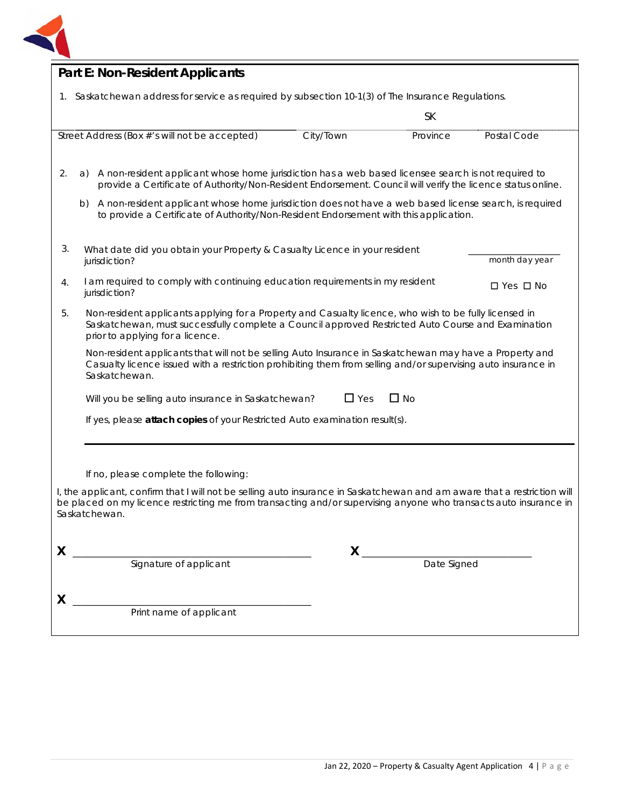

| <b>Part E: Non-Resident Applicants</b>                                                                                                                                                                                                                         |                                                                                                                                                                                                                          |             |                      |  |  |
|----------------------------------------------------------------------------------------------------------------------------------------------------------------------------------------------------------------------------------------------------------------|--------------------------------------------------------------------------------------------------------------------------------------------------------------------------------------------------------------------------|-------------|----------------------|--|--|
| 1. Saskatchewan address for service as required by subsection 10-1(3) of The Insurance Regulations.                                                                                                                                                            |                                                                                                                                                                                                                          |             |                      |  |  |
|                                                                                                                                                                                                                                                                |                                                                                                                                                                                                                          | <b>SK</b>   |                      |  |  |
| Street Address (Box #'s will not be accepted)                                                                                                                                                                                                                  | City/Town                                                                                                                                                                                                                | Province    | Postal Code          |  |  |
| A non-resident applicant whose home jurisdiction has a web based licensee search is not required to<br>2.<br>a)<br>provide a Certificate of Authority/Non-Resident Endorsement. Council will verify the licence status online.                                 |                                                                                                                                                                                                                          |             |                      |  |  |
| b) A non-resident applicant whose home jurisdiction does not have a web based license search, is required<br>to provide a Certificate of Authority/Non-Resident Endorsement with this application.                                                             |                                                                                                                                                                                                                          |             |                      |  |  |
| 3.<br>What date did you obtain your Property & Casualty Licence in your resident<br>jurisdiction?                                                                                                                                                              |                                                                                                                                                                                                                          |             | month day year       |  |  |
| I am required to comply with continuing education requirements in my resident<br>4.<br>jurisdiction?                                                                                                                                                           |                                                                                                                                                                                                                          |             | $\Box$ Yes $\Box$ No |  |  |
| Non-resident applicants applying for a Property and Casualty licence, who wish to be fully licensed in<br>5.<br>Saskatchewan, must successfully complete a Council approved Restricted Auto Course and Examination<br>prior to applying for a licence.         |                                                                                                                                                                                                                          |             |                      |  |  |
| Saskatchewan.                                                                                                                                                                                                                                                  | Non-resident applicants that will not be selling Auto Insurance in Saskatchewan may have a Property and<br>Casualty licence issued with a restriction prohibiting them from selling and/or supervising auto insurance in |             |                      |  |  |
|                                                                                                                                                                                                                                                                | $\Box$ No<br>$\Box$ Yes<br>Will you be selling auto insurance in Saskatchewan?                                                                                                                                           |             |                      |  |  |
| If yes, please attach copies of your Restricted Auto examination result(s).                                                                                                                                                                                    |                                                                                                                                                                                                                          |             |                      |  |  |
|                                                                                                                                                                                                                                                                |                                                                                                                                                                                                                          |             |                      |  |  |
| If no, please complete the following:                                                                                                                                                                                                                          |                                                                                                                                                                                                                          |             |                      |  |  |
| I, the applicant, confirm that I will not be selling auto insurance in Saskatchewan and am aware that a restriction will<br>be placed on my licence restricting me from transacting and/or supervising anyone who transacts auto insurance in<br>Saskatchewan. |                                                                                                                                                                                                                          |             |                      |  |  |
| X                                                                                                                                                                                                                                                              | $\mathsf{X}_{-}$                                                                                                                                                                                                         |             |                      |  |  |
| Signature of applicant                                                                                                                                                                                                                                         |                                                                                                                                                                                                                          | Date Signed |                      |  |  |
| X                                                                                                                                                                                                                                                              |                                                                                                                                                                                                                          |             |                      |  |  |
| Print name of applicant                                                                                                                                                                                                                                        |                                                                                                                                                                                                                          |             |                      |  |  |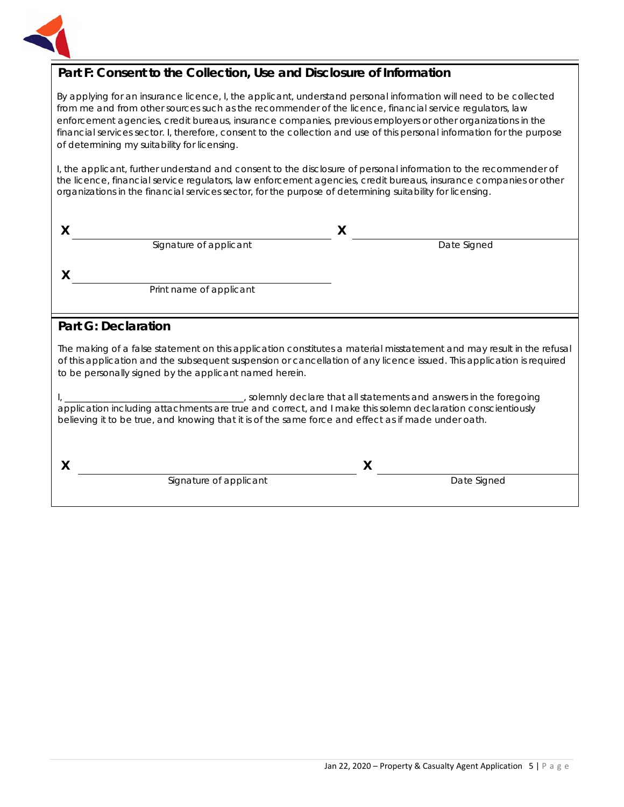

# **Part F: Consent to the Collection, Use and Disclosure of Information**

By applying for an insurance licence, I, the applicant, understand personal information will need to be collected from me and from other sources such as the recommender of the licence, financial service regulators, law enforcement agencies, credit bureaus, insurance companies, previous employers or other organizations in the financial services sector. I, therefore, consent to the collection and use of this personal information for the purpose of determining my suitability for licensing.

I, the applicant, further understand and consent to the disclosure of personal information to the recommender of the licence, financial service regulators, law enforcement agencies, credit bureaus, insurance companies or other organizations in the financial services sector, for the purpose of determining suitability for licensing.

| Signature of applicant  | Date Signed |  |
|-------------------------|-------------|--|
|                         |             |  |
|                         |             |  |
| Print name of applicant |             |  |
|                         |             |  |

# **Part G: Declaration**

The making of a false statement on this application constitutes a material misstatement and may result in the refusal of this application and the subsequent suspension or cancellation of any licence issued. This application is required to be personally signed by the applicant named herein.

I, \_\_\_\_\_\_\_\_\_\_\_\_\_\_\_\_\_\_\_\_\_\_\_\_\_\_\_\_\_\_\_\_\_\_\_\_\_\_\_, solemnly declare that all statements and answers in the foregoing application including attachments are true and correct, and I make this solemn declaration conscientiously believing it to be true, and knowing that it is of the same force and effect as if made under oath.

**X X**

Signature of applicant Date Signed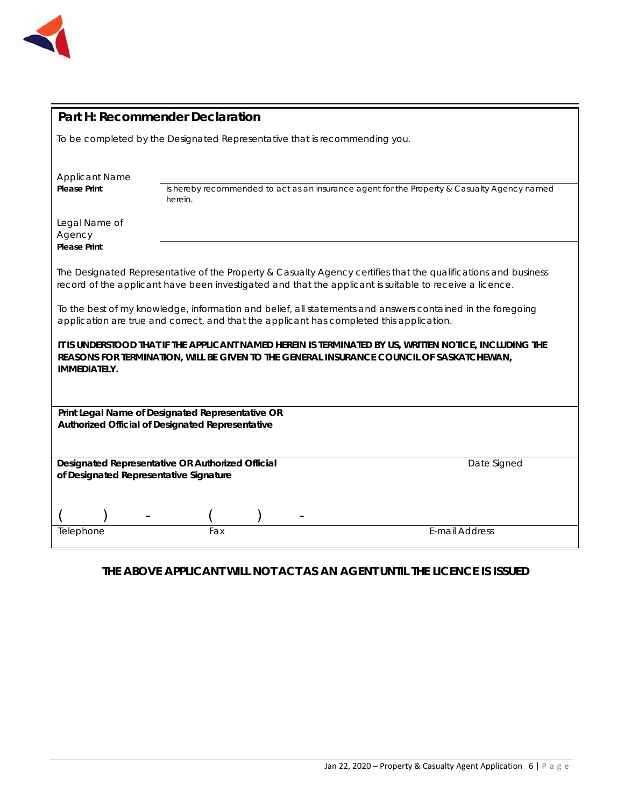

| <b>Part H: Recommender Declaration</b>                                                                                                                                                                                    |         |  |                                                                                                                                                                                                                           |  |
|---------------------------------------------------------------------------------------------------------------------------------------------------------------------------------------------------------------------------|---------|--|---------------------------------------------------------------------------------------------------------------------------------------------------------------------------------------------------------------------------|--|
| To be completed by the Designated Representative that is recommending you.                                                                                                                                                |         |  |                                                                                                                                                                                                                           |  |
| <b>Applicant Name</b><br><b>Please Print</b>                                                                                                                                                                              | herein. |  | is hereby recommended to act as an insurance agent for the Property & Casualty Agency named                                                                                                                               |  |
| Legal Name of<br>Agency<br><b>Please Print</b>                                                                                                                                                                            |         |  |                                                                                                                                                                                                                           |  |
|                                                                                                                                                                                                                           |         |  | The Designated Representative of the Property & Casualty Agency certifies that the qualifications and business<br>record of the applicant have been investigated and that the applicant is suitable to receive a licence. |  |
| To the best of my knowledge, information and belief, all statements and answers contained in the foregoing<br>application are true and correct, and that the applicant has completed this application.                    |         |  |                                                                                                                                                                                                                           |  |
| IT IS UNDERSTOOD THAT IF THE APPLICANT NAMED HEREIN IS TERMINATED BY US, WRITTEN NOTICE, INCLUDING THE<br>REASONS FOR TERMINATION, WILL BE GIVEN TO THE GENERAL INSURANCE COUNCIL OF SASKATCHEWAN,<br><b>IMMEDIATELY.</b> |         |  |                                                                                                                                                                                                                           |  |
| Print Legal Name of Designated Representative OR<br>Authorized Official of Designated Representative                                                                                                                      |         |  |                                                                                                                                                                                                                           |  |
|                                                                                                                                                                                                                           |         |  |                                                                                                                                                                                                                           |  |
| Designated Representative OR Authorized Official<br>Date Signed<br>of Designated Representative Signature                                                                                                                 |         |  |                                                                                                                                                                                                                           |  |
|                                                                                                                                                                                                                           |         |  |                                                                                                                                                                                                                           |  |
| Telephone                                                                                                                                                                                                                 | Fax     |  | E-mail Address                                                                                                                                                                                                            |  |

# **THE ABOVE APPLICANT WILL NOT ACT AS AN AGENT UNTIL THE LICENCE IS ISSUED**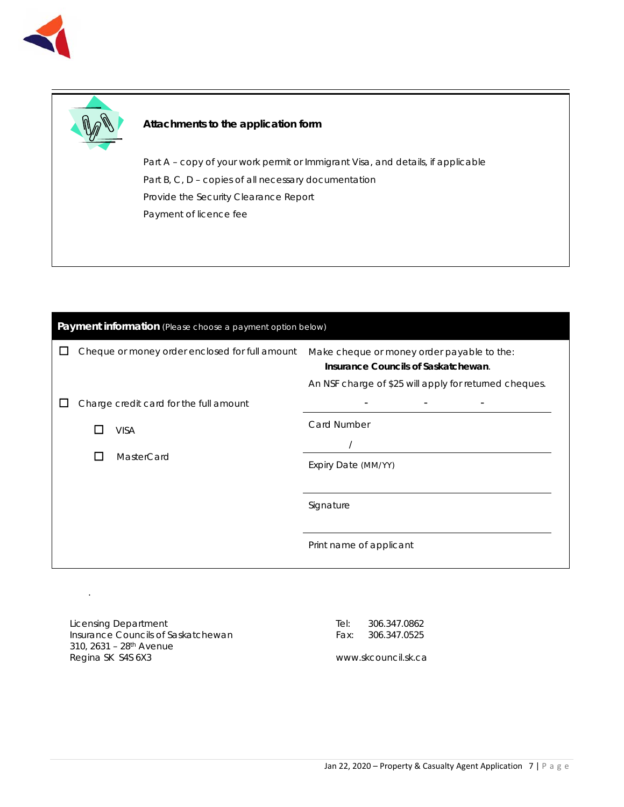



### **Attachments to the application form**

Part A – copy of your work permit or Immigrant Visa, and details, if applicable Part B, C, D - copies of all necessary documentation Provide the Security Clearance Report Payment of licence fee

| Payment information (Please choose a payment option below) |  |                                                |                                                                                   |  |
|------------------------------------------------------------|--|------------------------------------------------|-----------------------------------------------------------------------------------|--|
|                                                            |  | Cheque or money order enclosed for full amount | Make cheque or money order payable to the:<br>Insurance Councils of Saskatchewan. |  |
|                                                            |  |                                                | An NSF charge of \$25 will apply for returned cheques.                            |  |
|                                                            |  | Charge credit card for the full amount         | $\overline{\phantom{a}}$<br>$\overline{\phantom{a}}$                              |  |
|                                                            |  | <b>VISA</b>                                    | <b>Card Number</b>                                                                |  |
|                                                            |  |                                                |                                                                                   |  |
|                                                            |  | MasterCard                                     | Expiry Date (MM/YY)                                                               |  |
|                                                            |  |                                                |                                                                                   |  |
|                                                            |  |                                                | Signature                                                                         |  |
|                                                            |  |                                                | Print name of applicant                                                           |  |
|                                                            |  |                                                |                                                                                   |  |

Licensing Department Insurance Councils of Saskatchewan 310, 2631 – 28th Avenue Regina SK S4S 6X3

.

Tel: 306.347.0862 Fax: 306.347.0525

www.skcouncil.sk.ca